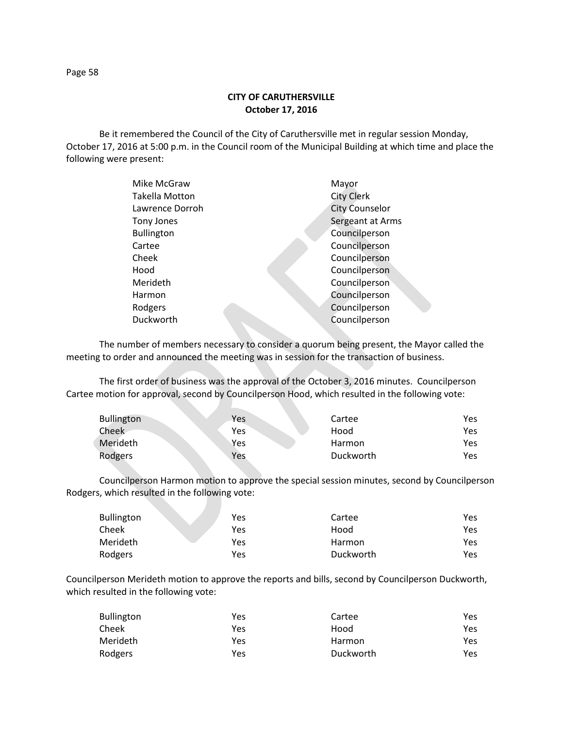Be it remembered the Council of the City of Caruthersville met in regular session Monday, October 17, 2016 at 5:00 p.m. in the Council room of the Municipal Building at which time and place the following were present:

| Mike McGraw       | Mayor                 |
|-------------------|-----------------------|
| Takella Motton    | <b>City Clerk</b>     |
| Lawrence Dorroh   | <b>City Counselor</b> |
| Tony Jones        | Sergeant at Arms      |
| <b>Bullington</b> | Councilperson         |
| Cartee            | Councilperson         |
| Cheek             | Councilperson         |
| Hood              | Councilperson         |
| Merideth          | Councilperson         |
| Harmon            | Councilperson         |
| Rodgers           | Councilperson         |
| Duckworth         | Councilperson         |
|                   |                       |

The number of members necessary to consider a quorum being present, the Mayor called the meeting to order and announced the meeting was in session for the transaction of business.

The first order of business was the approval of the October 3, 2016 minutes. Councilperson Cartee motion for approval, second by Councilperson Hood, which resulted in the following vote:

| <b>Bullington</b> | <b>Yes</b> | Cartee        | Yes  |
|-------------------|------------|---------------|------|
| Cheek             | Yes        | Hood          | Yes  |
| Merideth          | Yes        | <b>Harmon</b> | Yes  |
| Rodgers           | Yes        | Duckworth     | Yes. |

Councilperson Harmon motion to approve the special session minutes, second by Councilperson Rodgers, which resulted in the following vote:

| <b>Bullington</b> | Yes | Cartee    | Yes |
|-------------------|-----|-----------|-----|
| Cheek             | Yes | Hood      | Yes |
| Merideth          | Yes | Harmon    | Yes |
| Rodgers           | Yes | Duckworth | Yes |

Councilperson Merideth motion to approve the reports and bills, second by Councilperson Duckworth, which resulted in the following vote:

| <b>Bullington</b> | Yes | Cartee    | Yes. |
|-------------------|-----|-----------|------|
| Cheek             | Yes | Hood      | Yes. |
| Merideth          | Yes | Harmon    | Yes. |
| Rodgers           | Yes | Duckworth | Yes. |

Page 58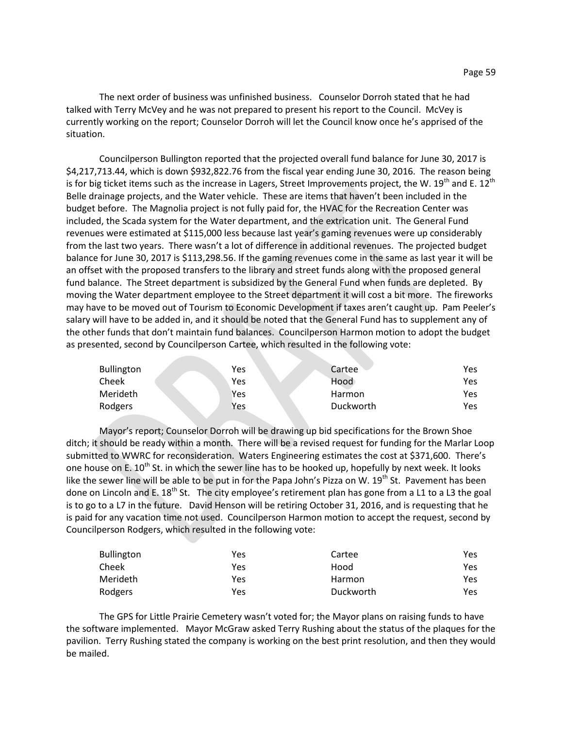The next order of business was unfinished business. Counselor Dorroh stated that he had talked with Terry McVey and he was not prepared to present his report to the Council. McVey is currently working on the report; Counselor Dorroh will let the Council know once he's apprised of the situation.

Councilperson Bullington reported that the projected overall fund balance for June 30, 2017 is \$4,217,713.44, which is down \$932,822.76 from the fiscal year ending June 30, 2016. The reason being is for big ticket items such as the increase in Lagers, Street Improvements project, the W.  $19<sup>th</sup>$  and E.  $12<sup>th</sup>$ Belle drainage projects, and the Water vehicle. These are items that haven't been included in the budget before. The Magnolia project is not fully paid for, the HVAC for the Recreation Center was included, the Scada system for the Water department, and the extrication unit. The General Fund revenues were estimated at \$115,000 less because last year's gaming revenues were up considerably from the last two years. There wasn't a lot of difference in additional revenues. The projected budget balance for June 30, 2017 is \$113,298.56. If the gaming revenues come in the same as last year it will be an offset with the proposed transfers to the library and street funds along with the proposed general fund balance. The Street department is subsidized by the General Fund when funds are depleted. By moving the Water department employee to the Street department it will cost a bit more. The fireworks may have to be moved out of Tourism to Economic Development if taxes aren't caught up. Pam Peeler's salary will have to be added in, and it should be noted that the General Fund has to supplement any of the other funds that don't maintain fund balances. Councilperson Harmon motion to adopt the budget as presented, second by Councilperson Cartee, which resulted in the following vote:

| <b>Bullington</b> | Yes | Cartee    | Yes |
|-------------------|-----|-----------|-----|
| Cheek             | Yes | Hood      | Yes |
| Merideth          | Yes | Harmon    | Yes |
| Rodgers           | Yes | Duckworth | Yes |

Mayor's report; Counselor Dorroh will be drawing up bid specifications for the Brown Shoe ditch; it should be ready within a month. There will be a revised request for funding for the Marlar Loop submitted to WWRC for reconsideration. Waters Engineering estimates the cost at \$371,600. There's one house on E. 10<sup>th</sup> St. in which the sewer line has to be hooked up, hopefully by next week. It looks like the sewer line will be able to be put in for the Papa John's Pizza on W. 19<sup>th</sup> St. Pavement has been done on Lincoln and E. 18<sup>th</sup> St. The city employee's retirement plan has gone from a L1 to a L3 the goal is to go to a L7 in the future. David Henson will be retiring October 31, 2016, and is requesting that he is paid for any vacation time not used. Councilperson Harmon motion to accept the request, second by Councilperson Rodgers, which resulted in the following vote:

| <b>Bullington</b> | Yes | Cartee        | Yes  |
|-------------------|-----|---------------|------|
| Cheek             | Yes | Hood          | Yes  |
| Merideth          | Yes | <b>Harmon</b> | Yes  |
| Rodgers           | Yes | Duckworth     | Yes. |

The GPS for Little Prairie Cemetery wasn't voted for; the Mayor plans on raising funds to have the software implemented. Mayor McGraw asked Terry Rushing about the status of the plaques for the pavilion. Terry Rushing stated the company is working on the best print resolution, and then they would be mailed.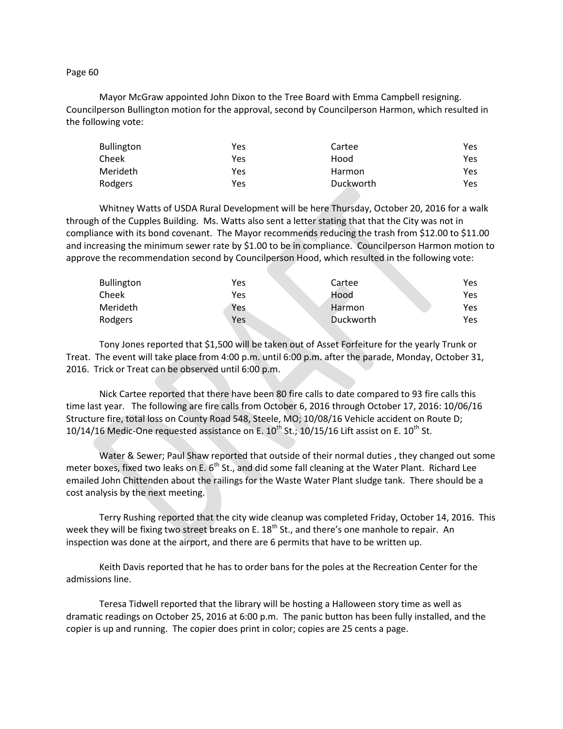Page 60

Mayor McGraw appointed John Dixon to the Tree Board with Emma Campbell resigning. Councilperson Bullington motion for the approval, second by Councilperson Harmon, which resulted in the following vote:

| <b>Bullington</b> | Yes | Cartee    | Yes |
|-------------------|-----|-----------|-----|
| Cheek             | Yes | Hood      | Yes |
| Merideth          | Yes | Harmon    | Yes |
| Rodgers           | Yes | Duckworth | Yes |

Whitney Watts of USDA Rural Development will be here Thursday, October 20, 2016 for a walk through of the Cupples Building. Ms. Watts also sent a letter stating that that the City was not in compliance with its bond covenant. The Mayor recommends reducing the trash from \$12.00 to \$11.00 and increasing the minimum sewer rate by \$1.00 to be in compliance. Councilperson Harmon motion to approve the recommendation second by Councilperson Hood, which resulted in the following vote:

| <b>Bullington</b> | Yes | Cartee    | Yes. |
|-------------------|-----|-----------|------|
| Cheek             | Yes | Hood      | Yes. |
| Merideth          | Yes | Harmon    | Yes. |
| Rodgers           | Yes | Duckworth | Yes. |

Tony Jones reported that \$1,500 will be taken out of Asset Forfeiture for the yearly Trunk or Treat. The event will take place from 4:00 p.m. until 6:00 p.m. after the parade, Monday, October 31, 2016. Trick or Treat can be observed until 6:00 p.m.

Nick Cartee reported that there have been 80 fire calls to date compared to 93 fire calls this time last year. The following are fire calls from October 6, 2016 through October 17, 2016: 10/06/16 Structure fire, total loss on County Road 548, Steele, MO; 10/08/16 Vehicle accident on Route D; 10/14/16 Medic-One requested assistance on E.  $10^{th}$  St.; 10/15/16 Lift assist on E.  $10^{th}$  St.

Water & Sewer; Paul Shaw reported that outside of their normal duties , they changed out some meter boxes, fixed two leaks on E.  $6<sup>th</sup>$  St., and did some fall cleaning at the Water Plant. Richard Lee emailed John Chittenden about the railings for the Waste Water Plant sludge tank. There should be a cost analysis by the next meeting.

Terry Rushing reported that the city wide cleanup was completed Friday, October 14, 2016. This week they will be fixing two street breaks on E. 18<sup>th</sup> St., and there's one manhole to repair. An inspection was done at the airport, and there are 6 permits that have to be written up.

Keith Davis reported that he has to order bans for the poles at the Recreation Center for the admissions line.

Teresa Tidwell reported that the library will be hosting a Halloween story time as well as dramatic readings on October 25, 2016 at 6:00 p.m. The panic button has been fully installed, and the copier is up and running. The copier does print in color; copies are 25 cents a page.